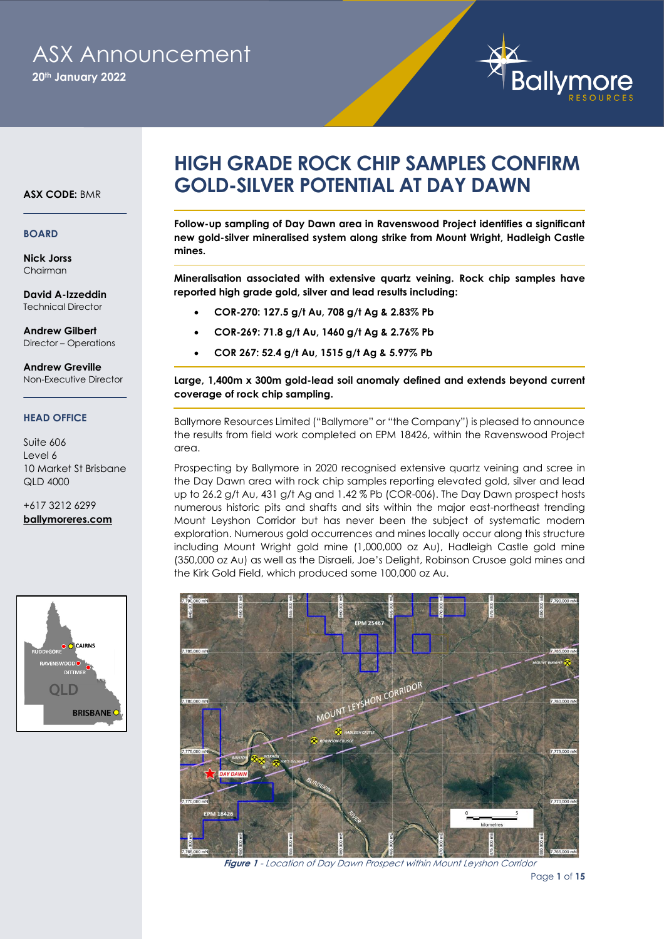# ASX Announcement

**20th January 2022**



#### **ASX CODE:** BMR

#### **BOARD**

**Nick Jorss** Chairman

**David A-Izzeddin** Technical Director

**Andrew Gilbert** Director – Operations

**Andrew Greville** Non-Executive Director

#### **HEAD OFFICE**

#### Suite 606 Level 6 10 Market St Brisbane  $QID$  4000

+617 3212 6299 **[ballymoreres.com](http://www.ballymoreres.com/)**



## **HIGH GRADE ROCK CHIP SAMPLES CONFIRM GOLD-SILVER POTENTIAL AT DAY DAWN**

**Follow-up sampling of Day Dawn area in Ravenswood Project identifies a significant new gold-silver mineralised system along strike from Mount Wright, Hadleigh Castle mines.**

**Mineralisation associated with extensive quartz veining. Rock chip samples have reported high grade gold, silver and lead results including:** 

- **COR-270: 127.5 g/t Au, 708 g/t Ag & 2.83% Pb**
- **COR-269: 71.8 g/t Au, 1460 g/t Ag & 2.76% Pb**
- **COR 267: 52.4 g/t Au, 1515 g/t Ag & 5.97% Pb**

**Large, 1,400m x 300m gold-lead soil anomaly defined and extends beyond current coverage of rock chip sampling.**

Ballymore Resources Limited ("Ballymore" or "the Company") is pleased to announce the results from field work completed on EPM 18426, within the Ravenswood Project area.

Prospecting by Ballymore in 2020 recognised extensive quartz veining and scree in the Day Dawn area with rock chip samples reporting elevated gold, silver and lead up to 26.2 g/t Au, 431 g/t Ag and 1.42 % Pb (COR-006). The Day Dawn prospect hosts numerous historic pits and shafts and sits within the major east-northeast trending Mount Leyshon Corridor but has never been the subject of systematic modern exploration. Numerous gold occurrences and mines locally occur along this structure including Mount Wright gold mine (1,000,000 oz Au), Hadleigh Castle gold mine (350,000 oz Au) as well as the Disraeli, Joe's Delight, Robinson Crusoe gold mines and the Kirk Gold Field, which produced some 100,000 oz Au.



**Figure 1** - Location of Day Dawn Prospect within Mount Leyshon Corridor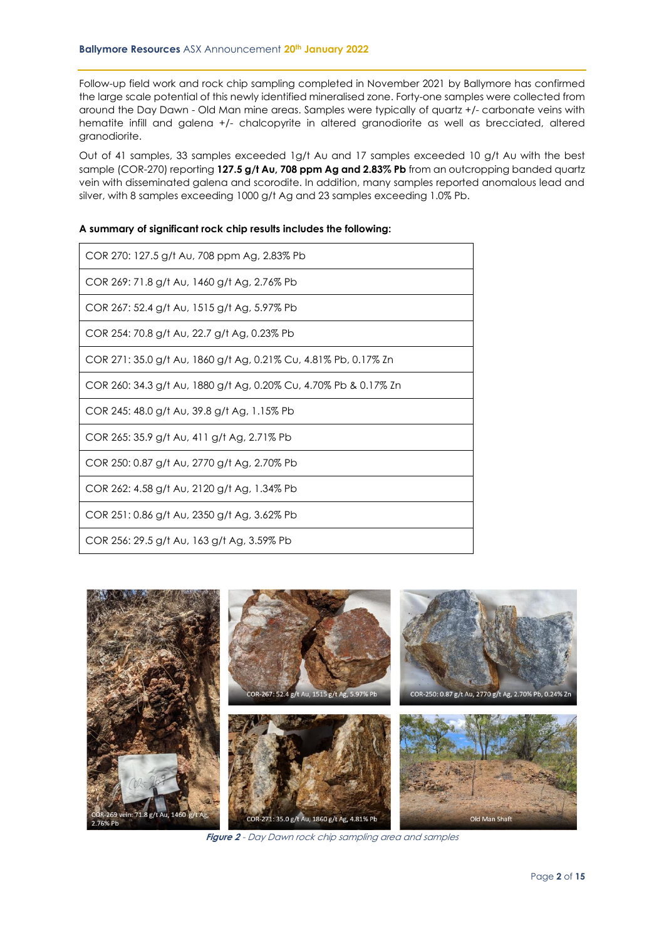Follow-up field work and rock chip sampling completed in November 2021 by Ballymore has confirmed the large scale potential of this newly identified mineralised zone. Forty-one samples were collected from around the Day Dawn - Old Man mine areas. Samples were typically of quartz +/- carbonate veins with hematite infill and galena +/- chalcopyrite in altered granodiorite as well as brecciated, altered granodiorite.

Out of 41 samples, 33 samples exceeded 1g/t Au and 17 samples exceeded 10 g/t Au with the best sample (COR-270) reporting 127.5 g/t Au, 708 ppm Ag and 2.83% Pb from an outcropping banded quartz vein with disseminated galena and scorodite. In addition, many samples reported anomalous lead and silver, with 8 samples exceeding 1000 g/t Ag and 23 samples exceeding 1.0% Pb.

|  |  |  | A summary of significant rock chip results includes the following: |  |
|--|--|--|--------------------------------------------------------------------|--|
|--|--|--|--------------------------------------------------------------------|--|

| COR 270: 127.5 g/t Au, 708 ppm Ag, 2.83% Pb                      |
|------------------------------------------------------------------|
| COR 269: 71.8 g/t Au, 1460 g/t Ag, 2.76% Pb                      |
| COR 267: 52.4 g/t Au, 1515 g/t Ag, 5.97% Pb                      |
| COR 254: 70.8 g/t Au, 22.7 g/t Ag, 0.23% Pb                      |
| COR 271: 35.0 g/t Au, 1860 g/t Ag, 0.21% Cu, 4.81% Pb, 0.17% Zn  |
| COR 260: 34.3 g/t Au, 1880 g/t Ag, 0.20% Cu, 4.70% Pb & 0.17% Zn |
| COR 245: 48.0 g/t Au, 39.8 g/t Ag, 1.15% Pb                      |
| COR 265: 35.9 g/t Au, 411 g/t Ag, 2.71% Pb                       |
| COR 250: 0.87 g/t Au, 2770 g/t Ag, 2.70% Pb                      |
| COR 262: 4.58 g/t Au, 2120 g/t Ag, 1.34% Pb                      |
| COR 251: 0.86 g/t Au, 2350 g/t Ag, 3.62% Pb                      |
| COR 256: 29.5 g/t Au, 163 g/t Ag, 3.59% Pb                       |



**Figure 2** - Day Dawn rock chip sampling area and samples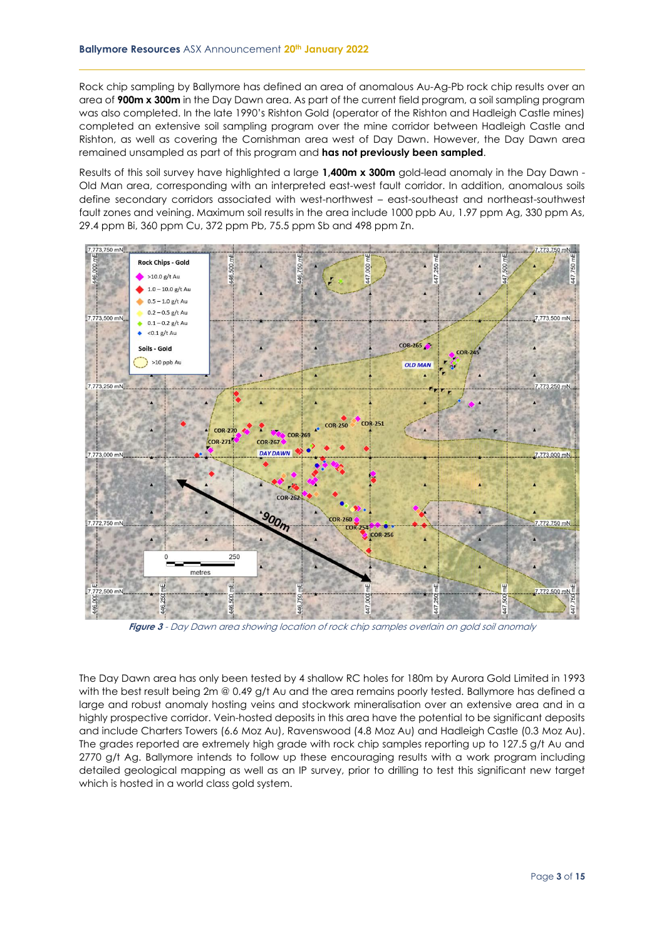Rock chip sampling by Ballymore has defined an area of anomalous Au-Ag-Pb rock chip results over an area of **900m x 300m** in the Day Dawn area. As part of the current field program, a soil sampling program was also completed. In the late 1990's Rishton Gold (operator of the Rishton and Hadleigh Castle mines) completed an extensive soil sampling program over the mine corridor between Hadleigh Castle and Rishton, as well as covering the Cornishman area west of Day Dawn. However, the Day Dawn area remained unsampled as part of this program and **has not previously been sampled**.

Results of this soil survey have highlighted a large **1,400m x 300m** gold-lead anomaly in the Day Dawn - Old Man area, corresponding with an interpreted east-west fault corridor. In addition, anomalous soils define secondary corridors associated with west-northwest – east-southeast and northeast-southwest fault zones and veining. Maximum soil results in the area include 1000 ppb Au, 1.97 ppm Ag, 330 ppm As, 29.4 ppm Bi, 360 ppm Cu, 372 ppm Pb, 75.5 ppm Sb and 498 ppm Zn.



**Figure 3** - Day Dawn area showing location of rock chip samples overlain on gold soil anomaly

The Day Dawn area has only been tested by 4 shallow RC holes for 180m by Aurora Gold Limited in 1993 with the best result being 2m @ 0.49 g/t Au and the area remains poorly tested. Ballymore has defined a large and robust anomaly hosting veins and stockwork mineralisation over an extensive area and in a highly prospective corridor. Vein-hosted deposits in this area have the potential to be significant deposits and include Charters Towers (6.6 Moz Au), Ravenswood (4.8 Moz Au) and Hadleigh Castle (0.3 Moz Au). The grades reported are extremely high grade with rock chip samples reporting up to 127.5 g/t Au and 2770 g/t Ag. Ballymore intends to follow up these encouraging results with a work program including detailed geological mapping as well as an IP survey, prior to drilling to test this significant new target which is hosted in a world class gold system.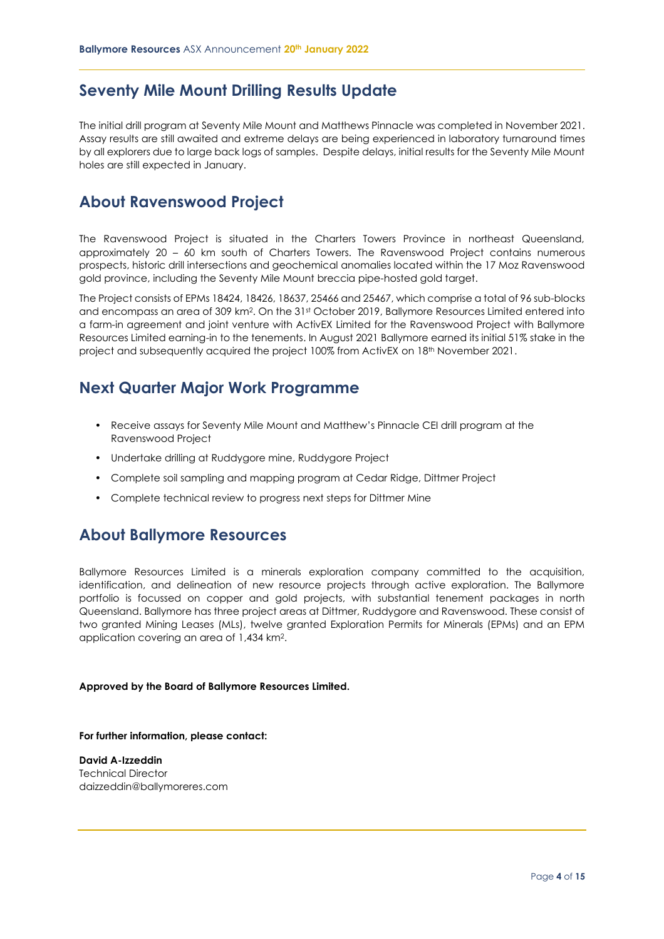#### **Seventy Mile Mount Drilling Results Update**

The initial drill program at Seventy Mile Mount and Matthews Pinnacle was completed in November 2021. Assay results are still awaited and extreme delays are being experienced in laboratory turnaround times by all explorers due to large back logs of samples. Despite delays, initial results for the Seventy Mile Mount holes are still expected in January.

#### **About Ravenswood Project**

The Ravenswood Project is situated in the Charters Towers Province in northeast Queensland, approximately 20 – 60 km south of Charters Towers. The Ravenswood Project contains numerous prospects, historic drill intersections and geochemical anomalies located within the 17 Moz Ravenswood gold province, including the Seventy Mile Mount breccia pipe-hosted gold target.

The Project consists of EPMs 18424, 18426, 18637, 25466 and 25467, which comprise a total of 96 sub-blocks and encompass an area of 309 km<sup>2</sup> . On the 31st October 2019, Ballymore Resources Limited entered into a farm-in agreement and joint venture with ActivEX Limited for the Ravenswood Project with Ballymore Resources Limited earning-in to the tenements. In August 2021 Ballymore earned its initial 51% stake in the project and subsequently acquired the project 100% from ActivEX on 18th November 2021.

#### **Next Quarter Major Work Programme**

- Receive assays for Seventy Mile Mount and Matthew's Pinnacle CEI drill program at the Ravenswood Project
- Undertake drilling at Ruddygore mine, Ruddygore Project
- Complete soil sampling and mapping program at Cedar Ridge, Dittmer Project
- Complete technical review to progress next steps for Dittmer Mine

#### **About Ballymore Resources**

Ballymore Resources Limited is a minerals exploration company committed to the acquisition, identification, and delineation of new resource projects through active exploration. The Ballymore portfolio is focussed on copper and gold projects, with substantial tenement packages in north Queensland. Ballymore has three project areas at Dittmer, Ruddygore and Ravenswood. These consist of two granted Mining Leases (MLs), twelve granted Exploration Permits for Minerals (EPMs) and an EPM application covering an area of 1,434 km<sup>2</sup> .

#### **Approved by the Board of Ballymore Resources Limited.**

**For further information, please contact:**

**David A-Izzeddin** Technical Director daizzeddin@ballymoreres.com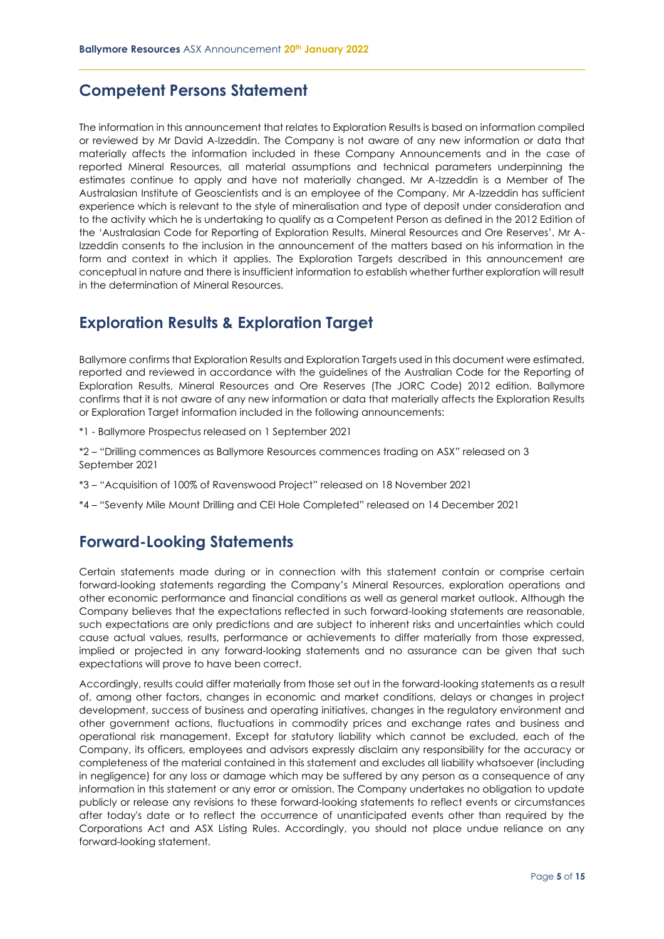#### **Competent Persons Statement**

The information in this announcement that relates to Exploration Results is based on information compiled or reviewed by Mr David A-Izzeddin. The Company is not aware of any new information or data that materially affects the information included in these Company Announcements and in the case of reported Mineral Resources, all material assumptions and technical parameters underpinning the estimates continue to apply and have not materially changed. Mr A-Izzeddin is a Member of The Australasian Institute of Geoscientists and is an employee of the Company. Mr A-Izzeddin has sufficient experience which is relevant to the style of mineralisation and type of deposit under consideration and to the activity which he is undertaking to qualify as a Competent Person as defined in the 2012 Edition of the 'Australasian Code for Reporting of Exploration Results, Mineral Resources and Ore Reserves'. Mr A-Izzeddin consents to the inclusion in the announcement of the matters based on his information in the form and context in which it applies. The Exploration Targets described in this announcement are conceptual in nature and there is insufficient information to establish whether further exploration will result in the determination of Mineral Resources.

### **Exploration Results & Exploration Target**

Ballymore confirms that Exploration Results and Exploration Targets used in this document were estimated, reported and reviewed in accordance with the guidelines of the Australian Code for the Reporting of Exploration Results, Mineral Resources and Ore Reserves (The JORC Code) 2012 edition. Ballymore confirms that it is not aware of any new information or data that materially affects the Exploration Results or Exploration Target information included in the following announcements:

- \*1 Ballymore Prospectus released on 1 September 2021
- \*2 "Drilling commences as Ballymore Resources commences trading on ASX" released on 3 September 2021
- \*3 "Acquisition of 100% of Ravenswood Project" released on 18 November 2021
- \*4 "Seventy Mile Mount Drilling and CEI Hole Completed" released on 14 December 2021

### **Forward-Looking Statements**

Certain statements made during or in connection with this statement contain or comprise certain forward-looking statements regarding the Company's Mineral Resources, exploration operations and other economic performance and financial conditions as well as general market outlook. Although the Company believes that the expectations reflected in such forward-looking statements are reasonable, such expectations are only predictions and are subject to inherent risks and uncertainties which could cause actual values, results, performance or achievements to differ materially from those expressed, implied or projected in any forward-looking statements and no assurance can be given that such expectations will prove to have been correct.

Accordingly, results could differ materially from those set out in the forward-looking statements as a result of, among other factors, changes in economic and market conditions, delays or changes in project development, success of business and operating initiatives, changes in the regulatory environment and other government actions, fluctuations in commodity prices and exchange rates and business and operational risk management. Except for statutory liability which cannot be excluded, each of the Company, its officers, employees and advisors expressly disclaim any responsibility for the accuracy or completeness of the material contained in this statement and excludes all liability whatsoever (including in negligence) for any loss or damage which may be suffered by any person as a consequence of any information in this statement or any error or omission. The Company undertakes no obligation to update publicly or release any revisions to these forward-looking statements to reflect events or circumstances after today's date or to reflect the occurrence of unanticipated events other than required by the Corporations Act and ASX Listing Rules. Accordingly, you should not place undue reliance on any forward-looking statement.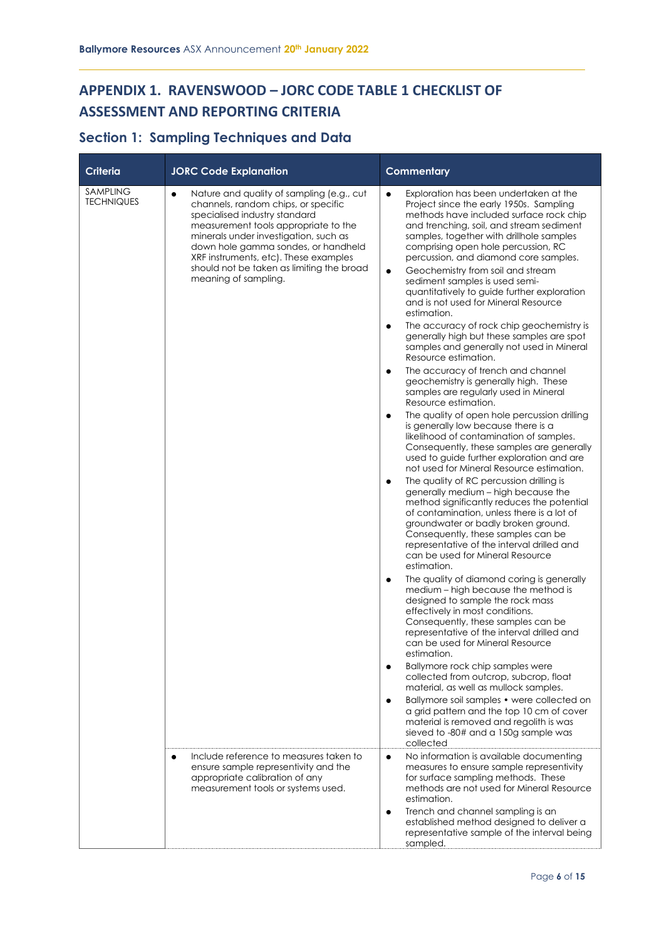### **APPENDIX 1. RAVENSWOOD – JORC CODE TABLE 1 CHECKLIST OF ASSESSMENT AND REPORTING CRITERIA**

### **Section 1: Sampling Techniques and Data**

| <b>Criteria</b>               | <b>JORC Code Explanation</b>                                                                                                                                                                                                                                                                                                                 | <b>Commentary</b>                                                                                                                                                                                                                                                                                                                                                      |  |  |  |
|-------------------------------|----------------------------------------------------------------------------------------------------------------------------------------------------------------------------------------------------------------------------------------------------------------------------------------------------------------------------------------------|------------------------------------------------------------------------------------------------------------------------------------------------------------------------------------------------------------------------------------------------------------------------------------------------------------------------------------------------------------------------|--|--|--|
| SAMPLING<br><b>TECHNIQUES</b> | Nature and quality of sampling (e.g., cut<br>$\bullet$<br>channels, random chips, or specific<br>specialised industry standard<br>measurement tools appropriate to the<br>minerals under investigation, such as<br>down hole gamma sondes, or handheld<br>XRF instruments, etc). These examples<br>should not be taken as limiting the broad | Exploration has been undertaken at the<br>$\bullet$<br>Project since the early 1950s. Sampling<br>methods have included surface rock chip<br>and trenching, soil, and stream sediment<br>samples, together with drillhole samples<br>comprising open hole percussion, RC<br>percussion, and diamond core samples.<br>Geochemistry from soil and stream<br>$\bullet$    |  |  |  |
|                               | meaning of sampling.                                                                                                                                                                                                                                                                                                                         | sediment samples is used semi-<br>quantitatively to guide further exploration<br>and is not used for Mineral Resource<br>estimation.                                                                                                                                                                                                                                   |  |  |  |
|                               |                                                                                                                                                                                                                                                                                                                                              | The accuracy of rock chip geochemistry is<br>$\bullet$<br>generally high but these samples are spot<br>samples and generally not used in Mineral<br>Resource estimation.                                                                                                                                                                                               |  |  |  |
|                               |                                                                                                                                                                                                                                                                                                                                              | The accuracy of trench and channel<br>$\bullet$<br>geochemistry is generally high. These<br>samples are regularly used in Mineral<br>Resource estimation.                                                                                                                                                                                                              |  |  |  |
|                               |                                                                                                                                                                                                                                                                                                                                              | The quality of open hole percussion drilling<br>$\bullet$<br>is generally low because there is a<br>likelihood of contamination of samples.<br>Consequently, these samples are generally<br>used to guide further exploration and are<br>not used for Mineral Resource estimation.                                                                                     |  |  |  |
|                               |                                                                                                                                                                                                                                                                                                                                              | The quality of RC percussion drilling is<br>$\bullet$<br>generally medium - high because the<br>method significantly reduces the potential<br>of contamination, unless there is a lot of<br>groundwater or badly broken ground.<br>Consequently, these samples can be<br>representative of the interval drilled and<br>can be used for Mineral Resource<br>estimation. |  |  |  |
|                               |                                                                                                                                                                                                                                                                                                                                              | The quality of diamond coring is generally<br>$\bullet$<br>medium - high because the method is<br>designed to sample the rock mass<br>effectively in most conditions.<br>Consequently, these samples can be<br>representative of the interval drilled and<br>can be used for Mineral Resource<br>estimation.                                                           |  |  |  |
|                               |                                                                                                                                                                                                                                                                                                                                              | Ballymore rock chip samples were<br>$\bullet$<br>collected from outcrop, subcrop, float<br>material, as well as mullock samples.                                                                                                                                                                                                                                       |  |  |  |
|                               |                                                                                                                                                                                                                                                                                                                                              | Ballymore soil samples • were collected on<br>$\bullet$<br>a grid pattern and the top 10 cm of cover<br>material is removed and regolith is was<br>sieved to -80# and a 150g sample was<br>collected                                                                                                                                                                   |  |  |  |
|                               | Include reference to measures taken to<br>$\bullet$<br>ensure sample representivity and the<br>appropriate calibration of any<br>measurement tools or systems used.                                                                                                                                                                          | No information is available documenting<br>$\bullet$<br>measures to ensure sample representivity<br>for surface sampling methods. These<br>methods are not used for Mineral Resource<br>estimation.                                                                                                                                                                    |  |  |  |
|                               |                                                                                                                                                                                                                                                                                                                                              | Trench and channel sampling is an<br>$\bullet$<br>established method designed to deliver a<br>representative sample of the interval being<br>sampled.                                                                                                                                                                                                                  |  |  |  |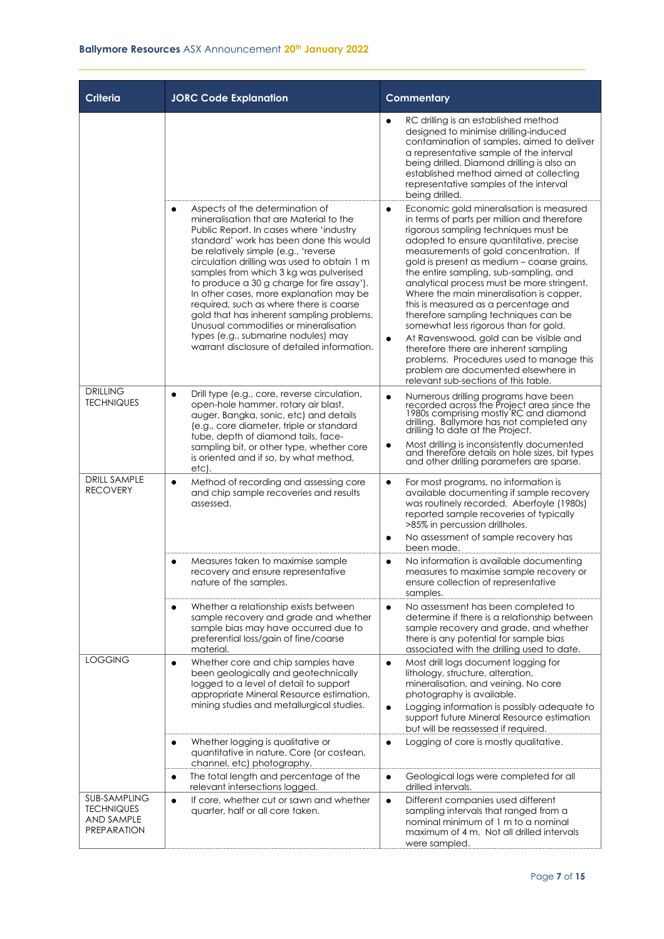| <b>Criteria</b>                                                              | <b>JORC Code Explanation</b>                                                                                                                                                                                                                                                                                                                                                                                                                                                                                                                                                                                                   | <b>Commentary</b>                                                                                                                                                                                                                                                                                                                                                                                                                                                                                                                                                                                                                                                                                                                                                       |  |  |  |
|------------------------------------------------------------------------------|--------------------------------------------------------------------------------------------------------------------------------------------------------------------------------------------------------------------------------------------------------------------------------------------------------------------------------------------------------------------------------------------------------------------------------------------------------------------------------------------------------------------------------------------------------------------------------------------------------------------------------|-------------------------------------------------------------------------------------------------------------------------------------------------------------------------------------------------------------------------------------------------------------------------------------------------------------------------------------------------------------------------------------------------------------------------------------------------------------------------------------------------------------------------------------------------------------------------------------------------------------------------------------------------------------------------------------------------------------------------------------------------------------------------|--|--|--|
|                                                                              |                                                                                                                                                                                                                                                                                                                                                                                                                                                                                                                                                                                                                                | RC drilling is an established method<br>$\bullet$<br>designed to minimise drilling-induced<br>contamination of samples, aimed to deliver<br>a representative sample of the interval<br>being drilled. Diamond drilling is also an<br>established method aimed at collecting<br>representative samples of the interval<br>being drilled.                                                                                                                                                                                                                                                                                                                                                                                                                                 |  |  |  |
|                                                                              | Aspects of the determination of<br>$\bullet$<br>mineralisation that are Material to the<br>Public Report. In cases where 'industry<br>standard' work has been done this would<br>be relatively simple (e.g., 'reverse<br>circulation drilling was used to obtain 1 m<br>samples from which 3 kg was pulverised<br>to produce a 30 g charge for fire assay').<br>In other cases, more explanation may be<br>required, such as where there is coarse<br>gold that has inherent sampling problems.<br>Unusual commodities or mineralisation<br>types (e.g., submarine nodules) may<br>warrant disclosure of detailed information. | Economic gold mineralisation is measured<br>$\bullet$<br>in terms of parts per million and therefore<br>rigorous sampling techniques must be<br>adopted to ensure quantitative, precise<br>measurements of gold concentration. If<br>gold is present as medium - coarse grains,<br>the entire sampling, sub-sampling, and<br>analytical process must be more stringent.<br>Where the main mineralisation is copper,<br>this is measured as a percentage and<br>therefore sampling techniques can be<br>somewhat less rigorous than for gold.<br>At Ravenswood, gold can be visible and<br>$\bullet$<br>therefore there are inherent sampling<br>problems. Procedures used to manage this<br>problem are documented elsewhere in<br>relevant sub-sections of this table. |  |  |  |
| <b>DRILLING</b><br><b>TECHNIQUES</b>                                         | Drill type (e.g., core, reverse circulation,<br>$\bullet$<br>open-hole hammer, rotary air blast,<br>auger, Bangka, sonic, etc) and details<br>(e.g., core diameter, triple or standard<br>tube, depth of diamond tails, face-<br>sampling bit, or other type, whether core<br>is oriented and if so, by what method,                                                                                                                                                                                                                                                                                                           | Numerous drilling programs have been<br>recorded across the Project area since the<br>$\bullet$<br>1980s comprising mostly RC and diamond<br>drilling. Ballymore has not completed any<br>drilling to date at the Project.<br>Most drilling is inconsistently documented<br>and therefore details on hole sizes, bit types<br>and other drilling parameters are sparse.                                                                                                                                                                                                                                                                                                                                                                                                 |  |  |  |
| <b>DRILL SAMPLE</b><br><b>RECOVERY</b>                                       | etc).<br>Method of recording and assessing core<br>$\bullet$<br>and chip sample recoveries and results<br>assessed.                                                                                                                                                                                                                                                                                                                                                                                                                                                                                                            | For most programs, no information is<br>$\bullet$<br>available documenting if sample recovery<br>was routinely recorded. Aberfoyle (1980s)<br>reported sample recoveries of typically<br>>85% in percussion drillholes.<br>No assessment of sample recovery has<br>٠<br>been made.                                                                                                                                                                                                                                                                                                                                                                                                                                                                                      |  |  |  |
|                                                                              | Measures taken to maximise sample<br>recovery and ensure representative<br>nature of the samples.                                                                                                                                                                                                                                                                                                                                                                                                                                                                                                                              | No information is available documenting<br>$\bullet$<br>measures to maximise sample recovery or<br>ensure collection of representative<br>samples.                                                                                                                                                                                                                                                                                                                                                                                                                                                                                                                                                                                                                      |  |  |  |
|                                                                              | Whether a relationship exists between<br>sample recovery and grade and whether<br>sample bias may have occurred due to<br>preferential loss/gain of fine/coarse<br>material.                                                                                                                                                                                                                                                                                                                                                                                                                                                   | No assessment has been completed to<br>$\bullet$<br>determine if there is a relationship between<br>sample recovery and grade, and whether<br>there is any potential for sample bias<br>associated with the drilling used to date.                                                                                                                                                                                                                                                                                                                                                                                                                                                                                                                                      |  |  |  |
| <b>LOGGING</b>                                                               | Whether core and chip samples have<br>$\bullet$<br>been geologically and geotechnically<br>logged to a level of detail to support<br>appropriate Mineral Resource estimation,<br>mining studies and metallurgical studies.                                                                                                                                                                                                                                                                                                                                                                                                     | Most drill logs document logging for<br>$\bullet$<br>lithology, structure, alteration,<br>mineralisation, and veining. No core<br>photography is available.<br>Logging information is possibly adequate to<br>$\bullet$<br>support future Mineral Resource estimation<br>but will be reassessed if required.                                                                                                                                                                                                                                                                                                                                                                                                                                                            |  |  |  |
|                                                                              | Whether logging is qualitative or<br>quantitative in nature. Core (or costean,<br>channel, etc) photography.                                                                                                                                                                                                                                                                                                                                                                                                                                                                                                                   | Logging of core is mostly qualitative.<br>$\bullet$                                                                                                                                                                                                                                                                                                                                                                                                                                                                                                                                                                                                                                                                                                                     |  |  |  |
|                                                                              | The total length and percentage of the<br>$\bullet$<br>relevant intersections logged.                                                                                                                                                                                                                                                                                                                                                                                                                                                                                                                                          | Geological logs were completed for all<br>$\bullet$<br>drilled intervals.                                                                                                                                                                                                                                                                                                                                                                                                                                                                                                                                                                                                                                                                                               |  |  |  |
| <b>SUB-SAMPLING</b><br><b>TECHNIQUES</b><br>AND SAMPLE<br><b>PREPARATION</b> | If core, whether cut or sawn and whether<br>$\bullet$<br>quarter, half or all core taken.                                                                                                                                                                                                                                                                                                                                                                                                                                                                                                                                      | Different companies used different<br>$\bullet$<br>sampling intervals that ranged from a<br>nominal minimum of 1 m to a nominal<br>maximum of 4 m. Not all drilled intervals<br>were sampled.                                                                                                                                                                                                                                                                                                                                                                                                                                                                                                                                                                           |  |  |  |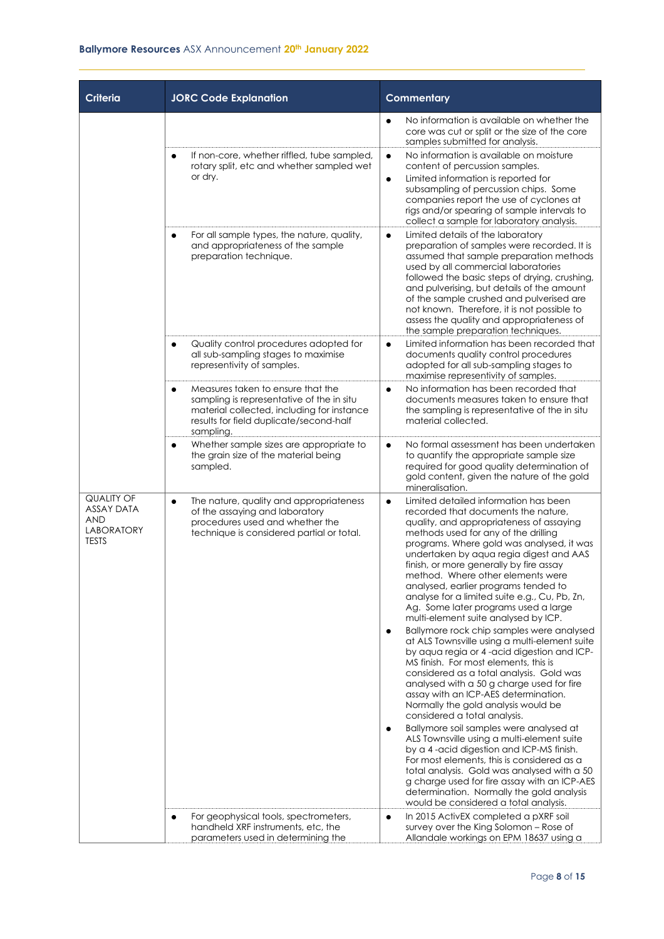| Criteria                                                                                  | <b>JORC Code Explanation</b>                                                                                                                                                                      | <b>Commentary</b>                                                                                                                                                                                                                                                                                                                                                                                                                                                                                                              |  |  |  |
|-------------------------------------------------------------------------------------------|---------------------------------------------------------------------------------------------------------------------------------------------------------------------------------------------------|--------------------------------------------------------------------------------------------------------------------------------------------------------------------------------------------------------------------------------------------------------------------------------------------------------------------------------------------------------------------------------------------------------------------------------------------------------------------------------------------------------------------------------|--|--|--|
|                                                                                           |                                                                                                                                                                                                   | No information is available on whether the<br>$\bullet$<br>core was cut or split or the size of the core<br>samples submitted for analysis.                                                                                                                                                                                                                                                                                                                                                                                    |  |  |  |
|                                                                                           | If non-core, whether riffled, tube sampled,<br>rotary split, etc and whether sampled wet<br>or dry.                                                                                               | No information is available on moisture<br>$\bullet$<br>content of percussion samples.<br>Limited information is reported for<br>$\bullet$<br>subsampling of percussion chips. Some<br>companies report the use of cyclones at<br>rigs and/or spearing of sample intervals to<br>collect a sample for laboratory analysis.                                                                                                                                                                                                     |  |  |  |
|                                                                                           | For all sample types, the nature, quality,<br>and appropriateness of the sample<br>preparation technique.                                                                                         | Limited details of the laboratory<br>$\bullet$<br>preparation of samples were recorded. It is<br>assumed that sample preparation methods<br>used by all commercial laboratories<br>followed the basic steps of drying, crushing,<br>and pulverising, but details of the amount<br>of the sample crushed and pulverised are<br>not known. Therefore, it is not possible to<br>assess the quality and appropriateness of<br>the sample preparation techniques.                                                                   |  |  |  |
|                                                                                           | Quality control procedures adopted for<br>all sub-sampling stages to maximise<br>representivity of samples.                                                                                       | Limited information has been recorded that<br>$\bullet$<br>documents quality control procedures<br>adopted for all sub-sampling stages to<br>maximise representivity of samples.                                                                                                                                                                                                                                                                                                                                               |  |  |  |
|                                                                                           | Measures taken to ensure that the<br>$\bullet$<br>sampling is representative of the in situ<br>material collected, including for instance<br>results for field duplicate/second-half<br>sampling. | No information has been recorded that<br>$\bullet$<br>documents measures taken to ensure that<br>the sampling is representative of the in situ<br>material collected.                                                                                                                                                                                                                                                                                                                                                          |  |  |  |
|                                                                                           | Whether sample sizes are appropriate to<br>the grain size of the material being<br>sampled.                                                                                                       | No formal assessment has been undertaken<br>$\bullet$<br>to quantify the appropriate sample size<br>required for good quality determination of<br>gold content, given the nature of the gold<br>mineralisation.                                                                                                                                                                                                                                                                                                                |  |  |  |
| <b>QUALITY OF</b><br><b>ASSAY DATA</b><br><b>AND</b><br><b>LABORATORY</b><br><b>TESTS</b> | The nature, quality and appropriateness<br>$\bullet$<br>of the assaying and laboratory<br>procedures used and whether the<br>technique is considered partial or total.                            | Limited detailed information has been<br>$\bullet$<br>recorded that documents the nature,<br>quality, and appropriateness of assaying<br>methods used for any of the drilling<br>programs. Where gold was analysed, it was<br>undertaken by aqua regia digest and AAS<br>finish, or more generally by fire assay<br>method. Where other elements were<br>analysed, earlier programs tended to<br>analyse for a limited suite e.g., Cu, Pb, Zn,<br>Ag. Some later programs used a large<br>multi-element suite analysed by ICP. |  |  |  |
|                                                                                           |                                                                                                                                                                                                   | Ballymore rock chip samples were analysed<br>$\bullet$<br>at ALS Townsville using a multi-element suite<br>by agua regia or 4-acid digestion and ICP-<br>MS finish. For most elements, this is<br>considered as a total analysis. Gold was<br>analysed with a 50 g charge used for fire<br>assay with an ICP-AES determination.<br>Normally the gold analysis would be<br>considered a total analysis.                                                                                                                         |  |  |  |
|                                                                                           |                                                                                                                                                                                                   | Ballymore soil samples were analysed at<br>$\bullet$<br>ALS Townsville using a multi-element suite<br>by a 4-acid digestion and ICP-MS finish.<br>For most elements, this is considered as a<br>total analysis. Gold was analysed with a 50<br>g charge used for fire assay with an ICP-AES<br>determination. Normally the gold analysis<br>would be considered a total analysis.                                                                                                                                              |  |  |  |
|                                                                                           | For geophysical tools, spectrometers,<br>handheld XRF instruments, etc, the<br>parameters used in determining the                                                                                 | In 2015 ActivEX completed a pXRF soil<br>$\bullet$<br>survey over the King Solomon - Rose of<br>Allandale workings on EPM 18637 using a                                                                                                                                                                                                                                                                                                                                                                                        |  |  |  |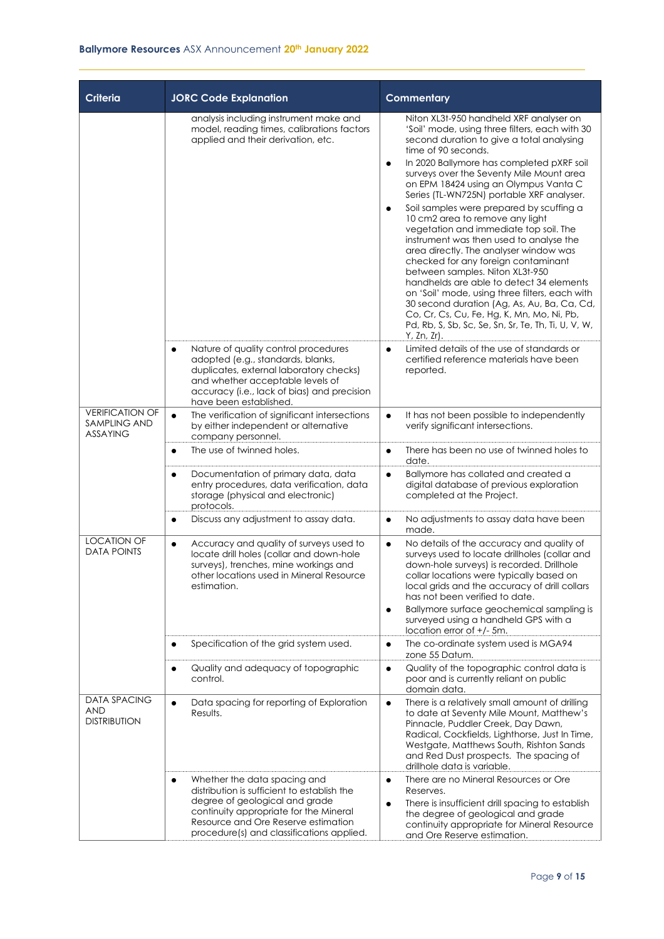| <b>Criteria</b>                                                  | <b>JORC Code Explanation</b>                                                                                                                                                                                                                   | <b>Commentary</b>                                                                                                                                                                                                                                                                                                                                                                                                                                                                                                                                                                                                                                                                                                                                                                                                                                                                                                               |
|------------------------------------------------------------------|------------------------------------------------------------------------------------------------------------------------------------------------------------------------------------------------------------------------------------------------|---------------------------------------------------------------------------------------------------------------------------------------------------------------------------------------------------------------------------------------------------------------------------------------------------------------------------------------------------------------------------------------------------------------------------------------------------------------------------------------------------------------------------------------------------------------------------------------------------------------------------------------------------------------------------------------------------------------------------------------------------------------------------------------------------------------------------------------------------------------------------------------------------------------------------------|
|                                                                  | analysis including instrument make and<br>model, reading times, calibrations factors<br>applied and their derivation, etc.                                                                                                                     | Niton XL3t-950 handheld XRF analyser on<br>'Soil' mode, using three filters, each with 30<br>second duration to give a total analysing<br>time of 90 seconds.<br>In 2020 Ballymore has completed pXRF soil<br>$\bullet$<br>surveys over the Seventy Mile Mount area<br>on EPM 18424 using an Olympus Vanta C<br>Series (TL-WN725N) portable XRF analyser.<br>Soil samples were prepared by scuffing a<br>$\bullet$<br>10 cm2 area to remove any light<br>vegetation and immediate top soil. The<br>instrument was then used to analyse the<br>area directly. The analyser window was<br>checked for any foreign contaminant<br>between samples. Niton XL3t-950<br>handhelds are able to detect 34 elements<br>on 'Soil' mode, using three filters, each with<br>30 second duration (Ag, As, Au, Ba, Ca, Cd,<br>Co, Cr, Cs, Cu, Fe, Hg, K, Mn, Mo, Ni, Pb,<br>Pd, Rb, S, Sb, Sc, Se, Sn, Sr, Te, Th, Ti, U, V, W,<br>Y, Zn, Zr). |
|                                                                  | Nature of quality control procedures<br>$\bullet$<br>adopted (e.g., standards, blanks,<br>duplicates, external laboratory checks)<br>and whether acceptable levels of<br>accuracy (i.e., lack of bias) and precision<br>have been established. | Limited details of the use of standards or<br>$\bullet$<br>certified reference materials have been<br>reported.                                                                                                                                                                                                                                                                                                                                                                                                                                                                                                                                                                                                                                                                                                                                                                                                                 |
| <b>VERIFICATION OF</b><br><b>SAMPLING AND</b><br><b>ASSAYING</b> | The verification of significant intersections<br>$\bullet$<br>by either independent or alternative<br>company personnel.                                                                                                                       | It has not been possible to independently<br>$\bullet$<br>verify significant intersections.                                                                                                                                                                                                                                                                                                                                                                                                                                                                                                                                                                                                                                                                                                                                                                                                                                     |
|                                                                  | The use of twinned holes.<br>$\bullet$                                                                                                                                                                                                         | There has been no use of twinned holes to<br>$\bullet$<br>date.                                                                                                                                                                                                                                                                                                                                                                                                                                                                                                                                                                                                                                                                                                                                                                                                                                                                 |
|                                                                  | Documentation of primary data, data<br>entry procedures, data verification, data<br>storage (physical and electronic)<br>protocols.                                                                                                            | Ballymore has collated and created a<br>$\bullet$<br>digital database of previous exploration<br>completed at the Project.                                                                                                                                                                                                                                                                                                                                                                                                                                                                                                                                                                                                                                                                                                                                                                                                      |
|                                                                  | Discuss any adjustment to assay data.                                                                                                                                                                                                          | No adjustments to assay data have been<br>$\bullet$<br>made.                                                                                                                                                                                                                                                                                                                                                                                                                                                                                                                                                                                                                                                                                                                                                                                                                                                                    |
| <b>LOCATION OF</b><br><b>DATA POINTS</b>                         | Accuracy and quality of surveys used to<br>$\bullet$<br>locate drill holes (collar and down-hole<br>surveys), trenches, mine workings and<br>other locations used in Mineral Resource<br>estimation.                                           | No details of the accuracy and quality of<br>$\bullet$<br>surveys used to locate drillholes (collar and<br>down-hole surveys) is recorded. Drillhole<br>collar locations were typically based on<br>local grids and the accuracy of drill collars<br>has not been verified to date.<br>Ballymore surface geochemical sampling is<br>$\bullet$<br>surveyed using a handheld GPS with a<br>location error of $+/-$ 5m.                                                                                                                                                                                                                                                                                                                                                                                                                                                                                                            |
|                                                                  | Specification of the grid system used.                                                                                                                                                                                                         | The co-ordinate system used is MGA94<br>$\bullet$<br>zone 55 Datum.                                                                                                                                                                                                                                                                                                                                                                                                                                                                                                                                                                                                                                                                                                                                                                                                                                                             |
|                                                                  | Quality and adequacy of topographic<br>control.                                                                                                                                                                                                | Quality of the topographic control data is<br>$\bullet$<br>poor and is currently reliant on public<br>domain data.                                                                                                                                                                                                                                                                                                                                                                                                                                                                                                                                                                                                                                                                                                                                                                                                              |
| <b>DATA SPACING</b><br><b>AND</b><br><b>DISTRIBUTION</b>         | Data spacing for reporting of Exploration<br>$\bullet$<br>Results.                                                                                                                                                                             | There is a relatively small amount of drilling<br>$\bullet$<br>to date at Seventy Mile Mount, Matthew's<br>Pinnacle, Puddler Creek, Day Dawn,<br>Radical, Cockfields, Lighthorse, Just In Time,<br>Westgate, Matthews South, Rishton Sands<br>and Red Dust prospects. The spacing of<br>drillhole data is variable.                                                                                                                                                                                                                                                                                                                                                                                                                                                                                                                                                                                                             |
|                                                                  | Whether the data spacing and<br>distribution is sufficient to establish the<br>degree of geological and grade<br>continuity appropriate for the Mineral<br>Resource and Ore Reserve estimation<br>procedure(s) and classifications applied.    | There are no Mineral Resources or Ore<br>$\bullet$<br>Reserves.<br>There is insufficient drill spacing to establish<br>٠<br>the degree of geological and grade<br>continuity appropriate for Mineral Resource<br>and Ore Reserve estimation.                                                                                                                                                                                                                                                                                                                                                                                                                                                                                                                                                                                                                                                                                    |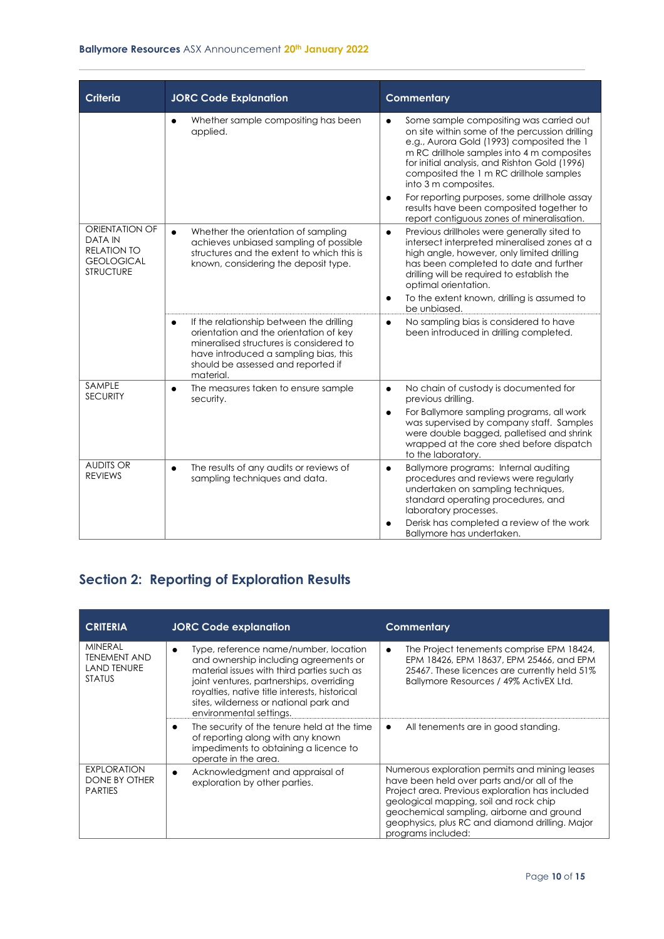#### **Ballymore Resources** ASX Announcement **20th January 2022**

| <b>Criteria</b>                                                                                        | <b>JORC Code Explanation</b>                                                                                                                                                                                                           | <b>Commentary</b>                                                                                                                                                                                                                                                                                                                                                                                                                                                            |
|--------------------------------------------------------------------------------------------------------|----------------------------------------------------------------------------------------------------------------------------------------------------------------------------------------------------------------------------------------|------------------------------------------------------------------------------------------------------------------------------------------------------------------------------------------------------------------------------------------------------------------------------------------------------------------------------------------------------------------------------------------------------------------------------------------------------------------------------|
|                                                                                                        | Whether sample compositing has been<br>applied.                                                                                                                                                                                        | Some sample compositing was carried out<br>$\bullet$<br>on site within some of the percussion drilling<br>e.g., Aurora Gold (1993) composited the 1<br>m RC drillhole samples into 4 m composites<br>for initial analysis, and Rishton Gold (1996)<br>composited the 1 m RC drillhole samples<br>into 3 m composites.<br>For reporting purposes, some drillhole assay<br>$\bullet$<br>results have been composited together to<br>report contiguous zones of mineralisation. |
| <b>ORIENTATION OF</b><br><b>DATA IN</b><br><b>RELATION TO</b><br><b>GEOLOGICAL</b><br><b>STRUCTURE</b> | Whether the orientation of sampling<br>$\bullet$<br>achieves unbiased sampling of possible<br>structures and the extent to which this is<br>known, considering the deposit type.                                                       | Previous drillholes were generally sited to<br>$\bullet$<br>intersect interpreted mineralised zones at a<br>high angle, however, only limited drilling<br>has been completed to date and further<br>drilling will be required to establish the<br>optimal orientation.<br>To the extent known, drilling is assumed to<br>$\bullet$<br>be unbiased.                                                                                                                           |
|                                                                                                        | If the relationship between the drilling<br>$\bullet$<br>orientation and the orientation of key<br>mineralised structures is considered to<br>have introduced a sampling bias, this<br>should be assessed and reported if<br>material. | No sampling bias is considered to have<br>$\bullet$<br>been introduced in drilling completed.                                                                                                                                                                                                                                                                                                                                                                                |
| SAMPLE<br><b>SECURITY</b>                                                                              | The measures taken to ensure sample<br>$\bullet$<br>security.                                                                                                                                                                          | No chain of custody is documented for<br>$\bullet$<br>previous drilling.<br>For Ballymore sampling programs, all work<br>$\bullet$<br>was supervised by company staff. Samples<br>were double bagged, palletised and shrink<br>wrapped at the core shed before dispatch<br>to the laboratory.                                                                                                                                                                                |
| <b>AUDITS OR</b><br><b>REVIEWS</b>                                                                     | The results of any audits or reviews of<br>$\bullet$<br>sampling techniques and data.                                                                                                                                                  | Ballymore programs: Internal auditing<br>$\bullet$<br>procedures and reviews were regularly<br>undertaken on sampling techniques,<br>standard operating procedures, and<br>laboratory processes.<br>Derisk has completed a review of the work<br>Ballymore has undertaken.                                                                                                                                                                                                   |

### **Section 2: Reporting of Exploration Results**

| <b>CRITERIA</b>                                                              | <b>JORC Code explanation</b>                                                                                                                                                                                                                                                                                | <b>Commentary</b>                                                                                                                                                                                                                                                                                                |
|------------------------------------------------------------------------------|-------------------------------------------------------------------------------------------------------------------------------------------------------------------------------------------------------------------------------------------------------------------------------------------------------------|------------------------------------------------------------------------------------------------------------------------------------------------------------------------------------------------------------------------------------------------------------------------------------------------------------------|
| <b>MINERAL</b><br><b>TENEMENT AND</b><br><b>LAND TENURE</b><br><b>STATUS</b> | Type, reference name/number, location<br>$\bullet$<br>and ownership including agreements or<br>material issues with third parties such as<br>joint ventures, partnerships, overriding<br>royalties, native title interests, historical<br>sites, wilderness or national park and<br>environmental settings. | The Project tenements comprise EPM 18424,<br>$\bullet$<br>EPM 18426, EPM 18637, EPM 25466, and EPM<br>25467. These licences are currently held 51%<br>Ballymore Resources / 49% ActivEX Ltd.                                                                                                                     |
|                                                                              | The security of the tenure held at the time<br>٠<br>of reporting along with any known<br>impediments to obtaining a licence to<br>operate in the area.                                                                                                                                                      | All tenements are in good standing.<br>$\bullet$                                                                                                                                                                                                                                                                 |
| <b>EXPLORATION</b><br>DONE BY OTHER<br><b>PARTIES</b>                        | Acknowledgment and appraisal of<br>$\bullet$<br>exploration by other parties.                                                                                                                                                                                                                               | Numerous exploration permits and mining leases<br>have been held over parts and/or all of the<br>Project area. Previous exploration has included<br>geological mapping, soil and rock chip<br>geochemical sampling, airborne and ground<br>geophysics, plus RC and diamond drilling. Major<br>programs included: |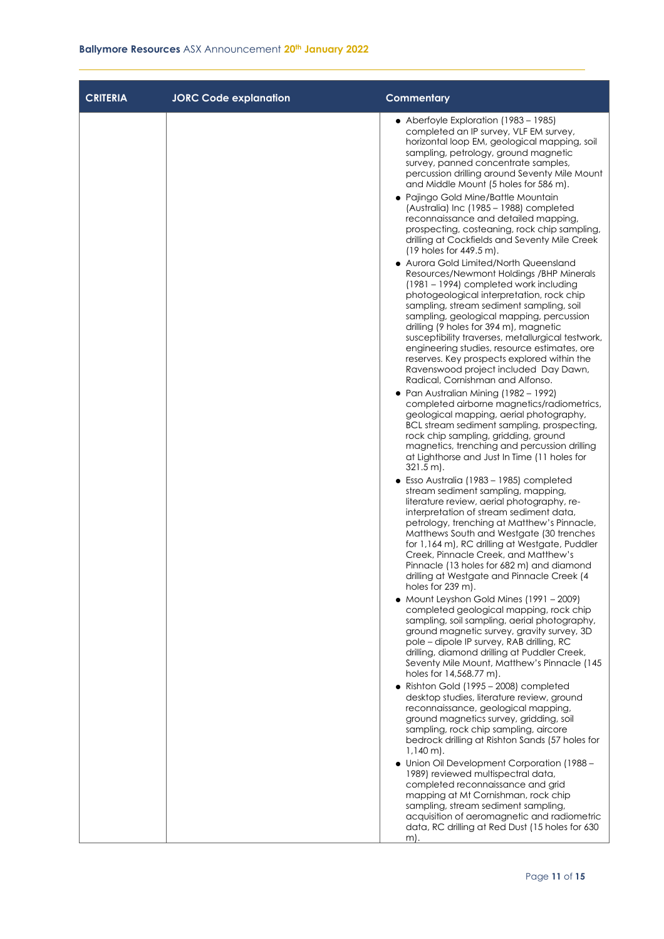| <b>CRITERIA</b> | <b>JORC Code explanation</b> | <b>Commentary</b>                                                                                                                                                                                                                                                                                                                                                                                                                                                                                                                                                                                                                                                                                                                                                                                                                                                                                                                                                                                                                                                                                                                                                                                                                                                                                                                                                                                                                                                                                                                                                                                                                                                                                                                                                                                                                                                                                                                                                                                                                                                                                                                                                                                                                                                                                                                                                                                                                                                                                                                                                                   |
|-----------------|------------------------------|-------------------------------------------------------------------------------------------------------------------------------------------------------------------------------------------------------------------------------------------------------------------------------------------------------------------------------------------------------------------------------------------------------------------------------------------------------------------------------------------------------------------------------------------------------------------------------------------------------------------------------------------------------------------------------------------------------------------------------------------------------------------------------------------------------------------------------------------------------------------------------------------------------------------------------------------------------------------------------------------------------------------------------------------------------------------------------------------------------------------------------------------------------------------------------------------------------------------------------------------------------------------------------------------------------------------------------------------------------------------------------------------------------------------------------------------------------------------------------------------------------------------------------------------------------------------------------------------------------------------------------------------------------------------------------------------------------------------------------------------------------------------------------------------------------------------------------------------------------------------------------------------------------------------------------------------------------------------------------------------------------------------------------------------------------------------------------------------------------------------------------------------------------------------------------------------------------------------------------------------------------------------------------------------------------------------------------------------------------------------------------------------------------------------------------------------------------------------------------------------------------------------------------------------------------------------------------------|
|                 |                              | • Aberfoyle Exploration (1983 – 1985)<br>completed an IP survey, VLF EM survey,<br>horizontal loop EM, geological mapping, soil<br>sampling, petrology, ground magnetic<br>survey, panned concentrate samples,<br>percussion drilling around Seventy Mile Mount<br>and Middle Mount (5 holes for 586 m).<br>• Pajingo Gold Mine/Battle Mountain<br>(Australia) Inc (1985 - 1988) completed<br>reconnaissance and detailed mapping,<br>prospecting, costeaning, rock chip sampling,<br>drilling at Cockfields and Seventy Mile Creek<br>$(19$ holes for 449.5 m).<br>• Aurora Gold Limited/North Queensland<br>Resources/Newmont Holdings /BHP Minerals<br>$(1981 - 1994)$ completed work including<br>photogeological interpretation, rock chip<br>sampling, stream sediment sampling, soil<br>sampling, geological mapping, percussion<br>drilling (9 holes for 394 m), magnetic<br>susceptibility traverses, metallurgical testwork,<br>engineering studies, resource estimates, ore<br>reserves. Key prospects explored within the<br>Ravenswood project included Day Dawn,<br>Radical, Cornishman and Alfonso.<br>• Pan Australian Mining (1982 - 1992)<br>completed airborne magnetics/radiometrics,<br>geological mapping, aerial photography,<br>BCL stream sediment sampling, prospecting,<br>rock chip sampling, gridding, ground<br>magnetics, trenching and percussion drilling<br>at Lighthorse and Just In Time (11 holes for<br>$321.5 \text{ m}$ .<br>• Esso Australia (1983 – 1985) completed<br>stream sediment sampling, mapping,<br>literature review, aerial photography, re-<br>interpretation of stream sediment data,<br>petrology, trenching at Matthew's Pinnacle,<br>Matthews South and Westgate (30 trenches<br>for 1,164 m), RC drilling at Westgate, Puddler<br>Creek, Pinnacle Creek, and Matthew's<br>Pinnacle (13 holes for 682 m) and diamond<br>drilling at Westgate and Pinnacle Creek (4<br>holes for 239 m).<br>• Mount Leyshon Gold Mines (1991 - 2009)<br>completed geological mapping, rock chip<br>sampling, soil sampling, aerial photography,<br>ground magnetic survey, gravity survey, 3D<br>pole - dipole IP survey, RAB drilling, RC<br>drilling, diamond drilling at Puddler Creek,<br>Seventy Mile Mount, Matthew's Pinnacle (145<br>holes for 14,568.77 m).<br>• Rishton Gold (1995 - 2008) completed<br>desktop studies, literature review, ground<br>reconnaissance, geological mapping,<br>ground magnetics survey, gridding, soil<br>sampling, rock chip sampling, aircore<br>bedrock drilling at Rishton Sands (57 holes for |
|                 |                              | $1,140 \text{ m}$ .<br>• Union Oil Development Corporation (1988 -<br>1989) reviewed multispectral data,<br>completed reconnaissance and grid<br>mapping at Mt Cornishman, rock chip                                                                                                                                                                                                                                                                                                                                                                                                                                                                                                                                                                                                                                                                                                                                                                                                                                                                                                                                                                                                                                                                                                                                                                                                                                                                                                                                                                                                                                                                                                                                                                                                                                                                                                                                                                                                                                                                                                                                                                                                                                                                                                                                                                                                                                                                                                                                                                                                |
|                 |                              | sampling, stream sediment sampling,<br>acquisition of aeromagnetic and radiometric<br>data, RC drilling at Red Dust (15 holes for 630<br>m).                                                                                                                                                                                                                                                                                                                                                                                                                                                                                                                                                                                                                                                                                                                                                                                                                                                                                                                                                                                                                                                                                                                                                                                                                                                                                                                                                                                                                                                                                                                                                                                                                                                                                                                                                                                                                                                                                                                                                                                                                                                                                                                                                                                                                                                                                                                                                                                                                                        |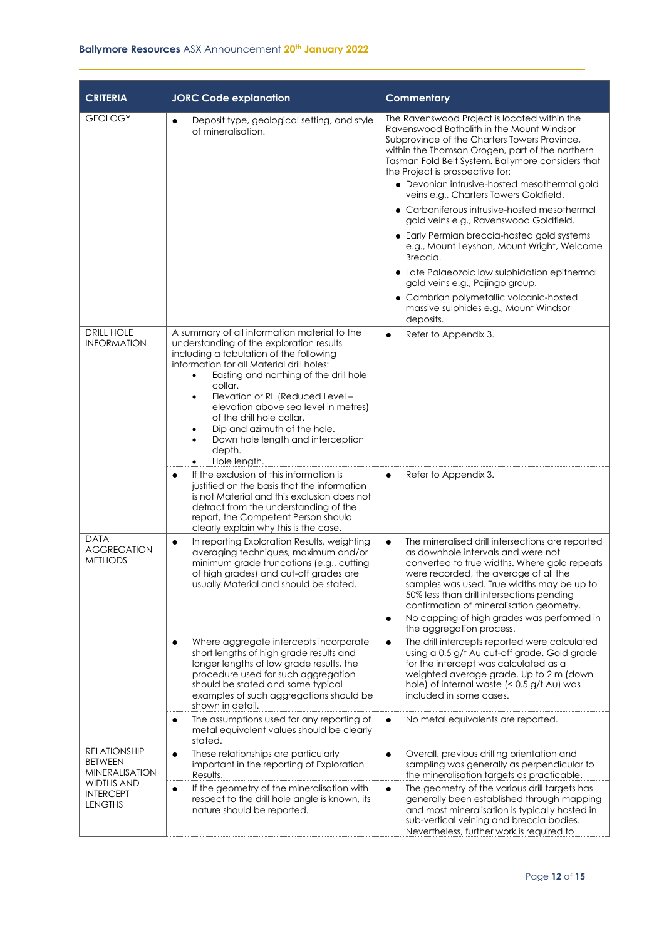| <b>CRITERIA</b>                                                | <b>JORC Code explanation</b>                                                                                                                                                                                                                                                                                                                                                                                                                                                 | <b>Commentary</b>                                                                                                                                                                                                                                                                                                                                                                                                                                                                                                                                                     |
|----------------------------------------------------------------|------------------------------------------------------------------------------------------------------------------------------------------------------------------------------------------------------------------------------------------------------------------------------------------------------------------------------------------------------------------------------------------------------------------------------------------------------------------------------|-----------------------------------------------------------------------------------------------------------------------------------------------------------------------------------------------------------------------------------------------------------------------------------------------------------------------------------------------------------------------------------------------------------------------------------------------------------------------------------------------------------------------------------------------------------------------|
| <b>GEOLOGY</b>                                                 | Deposit type, geological setting, and style<br>$\bullet$<br>of mineralisation.                                                                                                                                                                                                                                                                                                                                                                                               | The Ravenswood Project is located within the<br>Ravenswood Batholith in the Mount Windsor<br>Subprovince of the Charters Towers Province,<br>within the Thomson Orogen, part of the northern<br>Tasman Fold Belt System. Ballymore considers that<br>the Project is prospective for:<br>• Devonian intrusive-hosted mesothermal gold<br>veins e.g., Charters Towers Goldfield.<br>• Carboniferous intrusive-hosted mesothermal<br>gold veins e.g., Ravenswood Goldfield.<br>• Early Permian breccia-hosted gold systems<br>e.g., Mount Leyshon, Mount Wright, Welcome |
|                                                                |                                                                                                                                                                                                                                                                                                                                                                                                                                                                              | Breccia.<br>• Late Palaeozoic low sulphidation epithermal<br>gold veins e.g., Pajingo group.                                                                                                                                                                                                                                                                                                                                                                                                                                                                          |
|                                                                |                                                                                                                                                                                                                                                                                                                                                                                                                                                                              | • Cambrian polymetallic volcanic-hosted<br>massive sulphides e.g., Mount Windsor<br>deposits.                                                                                                                                                                                                                                                                                                                                                                                                                                                                         |
| <b>DRILL HOLE</b><br><b>INFORMATION</b>                        | A summary of all information material to the<br>understanding of the exploration results<br>including a tabulation of the following<br>information for all Material drill holes:<br>Easting and northing of the drill hole<br>$\bullet$<br>collar.<br>Elevation or RL (Reduced Level -<br>٠<br>elevation above sea level in metres)<br>of the drill hole collar.<br>Dip and azimuth of the hole.<br>Down hole length and interception<br>$\bullet$<br>depth.<br>Hole length. | Refer to Appendix 3.<br>$\bullet$                                                                                                                                                                                                                                                                                                                                                                                                                                                                                                                                     |
|                                                                | If the exclusion of this information is<br>$\bullet$<br>justified on the basis that the information<br>is not Material and this exclusion does not<br>detract from the understanding of the<br>report, the Competent Person should<br>clearly explain why this is the case.                                                                                                                                                                                                  | Refer to Appendix 3.<br>$\bullet$                                                                                                                                                                                                                                                                                                                                                                                                                                                                                                                                     |
| <b>DATA</b><br><b>AGGREGATION</b><br><b>METHODS</b>            | In reporting Exploration Results, weighting<br>$\bullet$<br>averaging techniques, maximum and/or<br>minimum grade truncations (e.g., cutting<br>of high grades) and cut-off grades are<br>usually Material and should be stated.                                                                                                                                                                                                                                             | The mineralised drill intersections are reported<br>$\bullet$<br>as downhole intervals and were not<br>converted to true widths. Where gold repeats<br>were recorded, the average of all the<br>samples was used. True widths may be up to<br>50% less than drill intersections pending<br>confirmation of mineralisation geometry.<br>No capping of high grades was performed in<br>$\bullet$<br>the aggregation process.                                                                                                                                            |
|                                                                | Where aggregate intercepts incorporate<br>$\bullet$<br>short lengths of high grade results and<br>longer lengths of low grade results, the<br>procedure used for such aggregation<br>should be stated and some typical<br>examples of such aggregations should be<br>shown in detail.                                                                                                                                                                                        | The drill intercepts reported were calculated<br>$\bullet$<br>using a 0.5 g/t Au cut-off grade. Gold grade<br>for the intercept was calculated as a<br>weighted average grade. Up to 2 m (down<br>hole) of internal waste $(0.5 \frac{q}{t} Au) wasincluded in some cases.$                                                                                                                                                                                                                                                                                           |
|                                                                | The assumptions used for any reporting of<br>$\bullet$<br>metal equivalent values should be clearly<br>stated.                                                                                                                                                                                                                                                                                                                                                               | No metal equivalents are reported.<br>$\bullet$                                                                                                                                                                                                                                                                                                                                                                                                                                                                                                                       |
| <b>RELATIONSHIP</b><br><b>BETWEEN</b><br><b>MINERALISATION</b> | These relationships are particularly<br>$\bullet$<br>important in the reporting of Exploration<br>Results.                                                                                                                                                                                                                                                                                                                                                                   | Overall, previous drilling orientation and<br>$\bullet$<br>sampling was generally as perpendicular to<br>the mineralisation targets as practicable.                                                                                                                                                                                                                                                                                                                                                                                                                   |
| WIDTHS AND<br><b>INTERCEPT</b><br><b>LENGTHS</b>               | If the geometry of the mineralisation with<br>$\bullet$<br>respect to the drill hole angle is known, its<br>nature should be reported.                                                                                                                                                                                                                                                                                                                                       | The geometry of the various drill targets has<br>$\bullet$<br>generally been established through mapping<br>and most mineralisation is typically hosted in<br>sub-vertical veining and breccia bodies.<br>Nevertheless, further work is required to                                                                                                                                                                                                                                                                                                                   |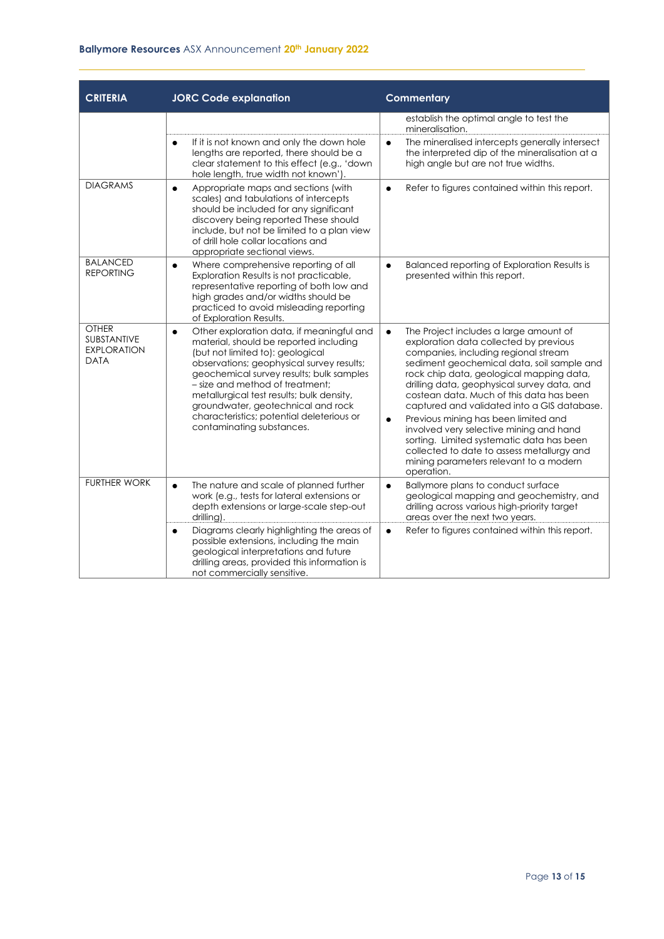#### **Ballymore Resources** ASX Announcement **20th January 2022**

| <b>CRITERIA</b>                                                         | <b>JORC Code explanation</b>                                                                                                                                                                                                                                                                                                                                                                                                  | <b>Commentary</b>                                                                                                                                                                                                                                                                                                                                                                                                                                                                                                                                                                                                            |
|-------------------------------------------------------------------------|-------------------------------------------------------------------------------------------------------------------------------------------------------------------------------------------------------------------------------------------------------------------------------------------------------------------------------------------------------------------------------------------------------------------------------|------------------------------------------------------------------------------------------------------------------------------------------------------------------------------------------------------------------------------------------------------------------------------------------------------------------------------------------------------------------------------------------------------------------------------------------------------------------------------------------------------------------------------------------------------------------------------------------------------------------------------|
|                                                                         |                                                                                                                                                                                                                                                                                                                                                                                                                               | establish the optimal angle to test the<br>mineralisation.                                                                                                                                                                                                                                                                                                                                                                                                                                                                                                                                                                   |
|                                                                         | If it is not known and only the down hole<br>$\bullet$<br>lengths are reported, there should be a<br>clear statement to this effect (e.g., 'down<br>hole length, true width not known').                                                                                                                                                                                                                                      | The mineralised intercepts generally intersect<br>$\bullet$<br>the interpreted dip of the mineralisation at a<br>high angle but are not true widths.                                                                                                                                                                                                                                                                                                                                                                                                                                                                         |
| <b>DIAGRAMS</b>                                                         | Appropriate maps and sections (with<br>$\bullet$<br>scales) and tabulations of intercepts<br>should be included for any significant<br>discovery being reported These should<br>include, but not be limited to a plan view<br>of drill hole collar locations and<br>appropriate sectional views.                                                                                                                              | Refer to figures contained within this report.<br>$\bullet$                                                                                                                                                                                                                                                                                                                                                                                                                                                                                                                                                                  |
| <b>BALANCED</b><br><b>REPORTING</b>                                     | Where comprehensive reporting of all<br>$\bullet$<br>Exploration Results is not practicable,<br>representative reporting of both low and<br>high grades and/or widths should be<br>practiced to avoid misleading reporting<br>of Exploration Results.                                                                                                                                                                         | Balanced reporting of Exploration Results is<br>$\bullet$<br>presented within this report.                                                                                                                                                                                                                                                                                                                                                                                                                                                                                                                                   |
| <b>OTHER</b><br><b>SUBSTANTIVE</b><br><b>EXPLORATION</b><br><b>DATA</b> | Other exploration data, if meaningful and<br>$\bullet$<br>material, should be reported including<br>(but not limited to): geological<br>observations; geophysical survey results;<br>geochemical survey results; bulk samples<br>- size and method of treatment:<br>metallurgical test results; bulk density,<br>groundwater, geotechnical and rock<br>characteristics; potential deleterious or<br>contaminating substances. | The Project includes a large amount of<br>$\bullet$<br>exploration data collected by previous<br>companies, including regional stream<br>sediment geochemical data, soil sample and<br>rock chip data, geological mapping data,<br>drilling data, geophysical survey data, and<br>costean data. Much of this data has been<br>captured and validated into a GIS database.<br>Previous mining has been limited and<br>$\bullet$<br>involved very selective mining and hand<br>sorting. Limited systematic data has been<br>collected to date to assess metallurgy and<br>mining parameters relevant to a modern<br>operation. |
| <b>FURTHER WORK</b>                                                     | The nature and scale of planned further<br>$\bullet$<br>work (e.g., tests for lateral extensions or<br>depth extensions or large-scale step-out<br>drilling).                                                                                                                                                                                                                                                                 | Ballymore plans to conduct surface<br>$\bullet$<br>geological mapping and geochemistry, and<br>drilling across various high-priority target<br>areas over the next two years.                                                                                                                                                                                                                                                                                                                                                                                                                                                |
|                                                                         | Diagrams clearly highlighting the areas of<br>$\bullet$<br>possible extensions, including the main<br>geological interpretations and future<br>drilling areas, provided this information is<br>not commercially sensitive.                                                                                                                                                                                                    | Refer to figures contained within this report.<br>$\bullet$                                                                                                                                                                                                                                                                                                                                                                                                                                                                                                                                                                  |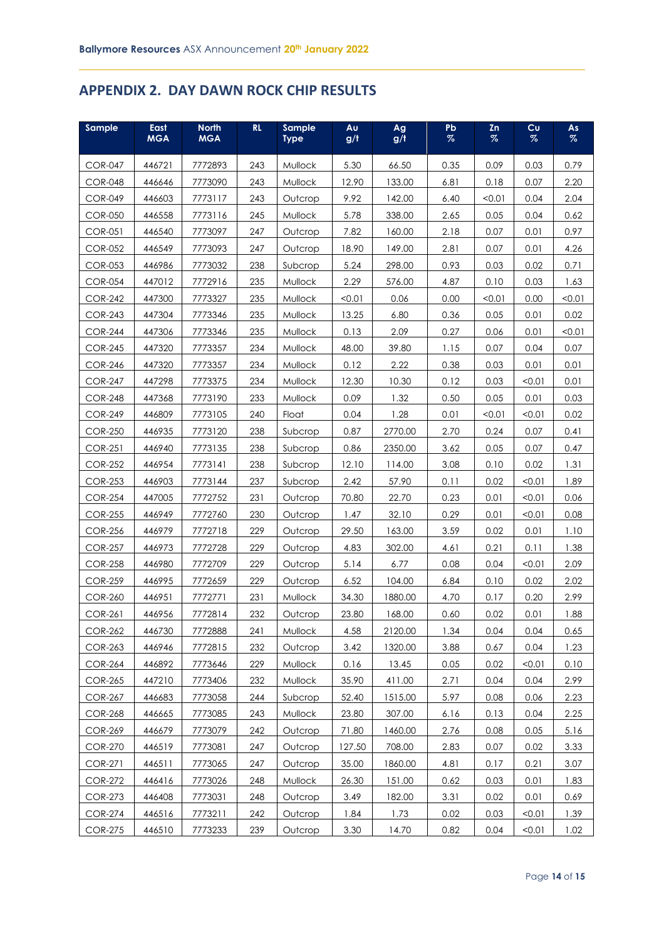### **APPENDIX 2. DAY DAWN ROCK CHIP RESULTS**

| Sample         | East<br><b>MGA</b> | <b>North</b><br><b>MGA</b> | RL  | <b>Sample</b><br><b>Type</b> | Au<br>g/t | Ag<br>g/t | Pb<br>$\%$ | Zn<br>$\%$ | Cu<br>$\%$ | As<br>$\%$ |
|----------------|--------------------|----------------------------|-----|------------------------------|-----------|-----------|------------|------------|------------|------------|
| <b>COR-047</b> | 446721             | 7772893                    | 243 | Mullock                      | 5.30      | 66.50     | 0.35       | 0.09       | 0.03       | 0.79       |
| <b>COR-048</b> | 446646             | 7773090                    | 243 | Mullock                      | 12.90     | 133.00    | 6.81       | 0.18       | 0.07       | 2.20       |
| <b>COR-049</b> | 446603             | 7773117                    | 243 | Outcrop                      | 9.92      | 142.00    | 6.40       | < 0.01     | 0.04       | 2.04       |
| <b>COR-050</b> | 446558             | 7773116                    | 245 | Mullock                      | 5.78      | 338.00    | 2.65       | 0.05       | 0.04       | 0.62       |
| <b>COR-051</b> | 446540             | 7773097                    | 247 | Outcrop                      | 7.82      | 160.00    | 2.18       | 0.07       | 0.01       | 0.97       |
| <b>COR-052</b> | 446549             | 7773093                    | 247 | Outcrop                      | 18.90     | 149.00    | 2.81       | 0.07       | 0.01       | 4.26       |
| <b>COR-053</b> | 446986             | 7773032                    | 238 | Subcrop                      | 5.24      | 298.00    | 0.93       | 0.03       | 0.02       | 0.71       |
| <b>COR-054</b> | 447012             | 7772916                    | 235 | Mullock                      | 2.29      | 576.00    | 4.87       | 0.10       | 0.03       | 1.63       |
| <b>COR-242</b> | 447300             | 7773327                    | 235 | Mullock                      | < 0.01    | 0.06      | 0.00       | < 0.01     | 0.00       | < 0.01     |
| <b>COR-243</b> | 447304             | 7773346                    | 235 | Mullock                      | 13.25     | 6.80      | 0.36       | 0.05       | 0.01       | 0.02       |
| <b>COR-244</b> | 447306             | 7773346                    | 235 | Mullock                      | 0.13      | 2.09      | 0.27       | 0.06       | 0.01       | < 0.01     |
| <b>COR-245</b> | 447320             | 7773357                    | 234 | Mullock                      | 48.00     | 39.80     | 1.15       | 0.07       | 0.04       | 0.07       |
| <b>COR-246</b> | 447320             | 7773357                    | 234 | Mullock                      | 0.12      | 2.22      | 0.38       | 0.03       | 0.01       | 0.01       |
| <b>COR-247</b> | 447298             | 7773375                    | 234 | Mullock                      | 12.30     | 10.30     | 0.12       | 0.03       | < 0.01     | 0.01       |
| <b>COR-248</b> | 447368             | 7773190                    | 233 | Mullock                      | 0.09      | 1.32      | 0.50       | 0.05       | 0.01       | 0.03       |
| <b>COR-249</b> | 446809             | 7773105                    | 240 | Float                        | 0.04      | 1.28      | 0.01       | < 0.01     | < 0.01     | 0.02       |
| <b>COR-250</b> | 446935             | 7773120                    | 238 | Subcrop                      | 0.87      | 2770.00   | 2.70       | 0.24       | 0.07       | 0.41       |
| <b>COR-251</b> | 446940             | 7773135                    | 238 | Subcrop                      | 0.86      | 2350.00   | 3.62       | 0.05       | 0.07       | 0.47       |
| <b>COR-252</b> | 446954             | 7773141                    | 238 | Subcrop                      | 12.10     | 114.00    | 3.08       | 0.10       | 0.02       | 1.31       |
| <b>COR-253</b> | 446903             | 7773144                    | 237 | Subcrop                      | 2.42      | 57.90     | 0.11       | 0.02       | < 0.01     | 1.89       |
| <b>COR-254</b> | 447005             | 7772752                    | 231 | Outcrop                      | 70.80     | 22.70     | 0.23       | 0.01       | < 0.01     | 0.06       |
| <b>COR-255</b> | 446949             | 7772760                    | 230 | Outcrop                      | 1.47      | 32.10     | 0.29       | 0.01       | < 0.01     | 0.08       |
| <b>COR-256</b> | 446979             | 7772718                    | 229 | Outcrop                      | 29.50     | 163.00    | 3.59       | 0.02       | 0.01       | 1.10       |
| <b>COR-257</b> | 446973             | 7772728                    | 229 | Outcrop                      | 4.83      | 302.00    | 4.61       | 0.21       | 0.11       | 1.38       |
| <b>COR-258</b> | 446980             | 7772709                    | 229 | Outcrop                      | 5.14      | 6.77      | 0.08       | 0.04       | < 0.01     | 2.09       |
| <b>COR-259</b> | 446995             | 7772659                    | 229 | Outcrop                      | 6.52      | 104.00    | 6.84       | 0.10       | 0.02       | 2.02       |
| <b>COR-260</b> | 446951             | 7772771                    | 231 | Mullock                      | 34.30     | 1880.00   | 4.70       | 0.17       | 0.20       | 2.99       |
| <b>COR-261</b> | 446956             | 7772814                    | 232 | Outcrop                      | 23.80     | 168.00    | 0.60       | 0.02       | 0.01       | 1.88       |
| <b>COR-262</b> | 446730             | 7772888                    | 241 | Mullock                      | 4.58      | 2120.00   | 1.34       | 0.04       | 0.04       | 0.65       |
| <b>COR-263</b> | 446946             | 7772815                    | 232 | Outcrop                      | 3.42      | 1320.00   | 3.88       | 0.67       | 0.04       | 1.23       |
| <b>COR-264</b> | 446892             | 7773646                    | 229 | Mullock                      | 0.16      | 13.45     | 0.05       | 0.02       | < 0.01     | 0.10       |
| <b>COR-265</b> | 447210             | 7773406                    | 232 | Mullock                      | 35.90     | 411.00    | 2.71       | 0.04       | 0.04       | 2.99       |
| <b>COR-267</b> | 446683             | 7773058                    | 244 | Subcrop                      | 52.40     | 1515.00   | 5.97       | 0.08       | 0.06       | 2.23       |
| <b>COR-268</b> | 446665             | 7773085                    | 243 | Mullock                      | 23.80     | 307.00    | 6.16       | 0.13       | 0.04       | 2.25       |
| <b>COR-269</b> | 446679             | 7773079                    | 242 | Outcrop                      | 71.80     | 1460.00   | 2.76       | 0.08       | 0.05       | 5.16       |
| <b>COR-270</b> | 446519             | 7773081                    | 247 | Outcrop                      | 127.50    | 708.00    | 2.83       | 0.07       | 0.02       | 3.33       |
| <b>COR-271</b> | 446511             | 7773065                    | 247 | Outcrop                      | 35.00     | 1860.00   | 4.81       | 0.17       | 0.21       | 3.07       |
| <b>COR-272</b> | 446416             | 7773026                    | 248 | Mullock                      | 26.30     | 151.00    | 0.62       | 0.03       | 0.01       | 1.83       |
| <b>COR-273</b> | 446408             | 7773031                    | 248 | Outcrop                      | 3.49      | 182.00    | 3.31       | 0.02       | 0.01       | 0.69       |
| <b>COR-274</b> | 446516             | 7773211                    | 242 | Outcrop                      | 1.84      | 1.73      | 0.02       | 0.03       | < 0.01     | 1.39       |
| <b>COR-275</b> | 446510             | 7773233                    | 239 | Outcrop                      | 3.30      | 14.70     | 0.82       | 0.04       | < 0.01     | 1.02       |